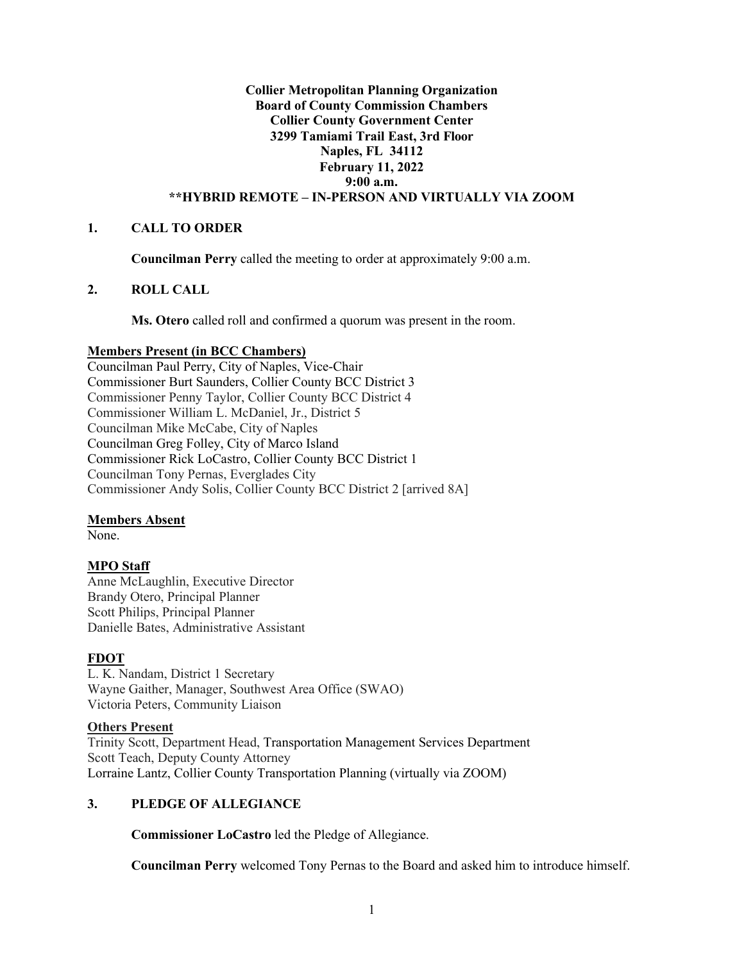# **Collier Metropolitan Planning Organization Board of County Commission Chambers Collier County Government Center 3299 Tamiami Trail East, 3rd Floor Naples, FL 34112 February 11, 2022 9:00 a.m. \*\*HYBRID REMOTE – IN-PERSON AND VIRTUALLY VIA ZOOM**

# **1. CALL TO ORDER**

**Councilman Perry** called the meeting to order at approximately 9:00 a.m.

# **2. ROLL CALL**

**Ms. Otero** called roll and confirmed a quorum was present in the room.

# **Members Present (in BCC Chambers)**

Councilman Paul Perry, City of Naples, Vice-Chair Commissioner Burt Saunders, Collier County BCC District 3 Commissioner Penny Taylor, Collier County BCC District 4 Commissioner William L. McDaniel, Jr., District 5 Councilman Mike McCabe, City of Naples Councilman Greg Folley, City of Marco Island Commissioner Rick LoCastro, Collier County BCC District 1 Councilman Tony Pernas, Everglades City Commissioner Andy Solis, Collier County BCC District 2 [arrived 8A]

# **Members Absent**

None.

# **MPO Staff**

Anne McLaughlin, Executive Director Brandy Otero, Principal Planner Scott Philips, Principal Planner Danielle Bates, Administrative Assistant

# **FDOT**

L. K. Nandam, District 1 Secretary Wayne Gaither, Manager, Southwest Area Office (SWAO) Victoria Peters, Community Liaison

# **Others Present**

Trinity Scott, Department Head, Transportation Management Services Department Scott Teach, Deputy County Attorney Lorraine Lantz, Collier County Transportation Planning (virtually via ZOOM)

# **3. PLEDGE OF ALLEGIANCE**

**Commissioner LoCastro** led the Pledge of Allegiance.

**Councilman Perry** welcomed Tony Pernas to the Board and asked him to introduce himself.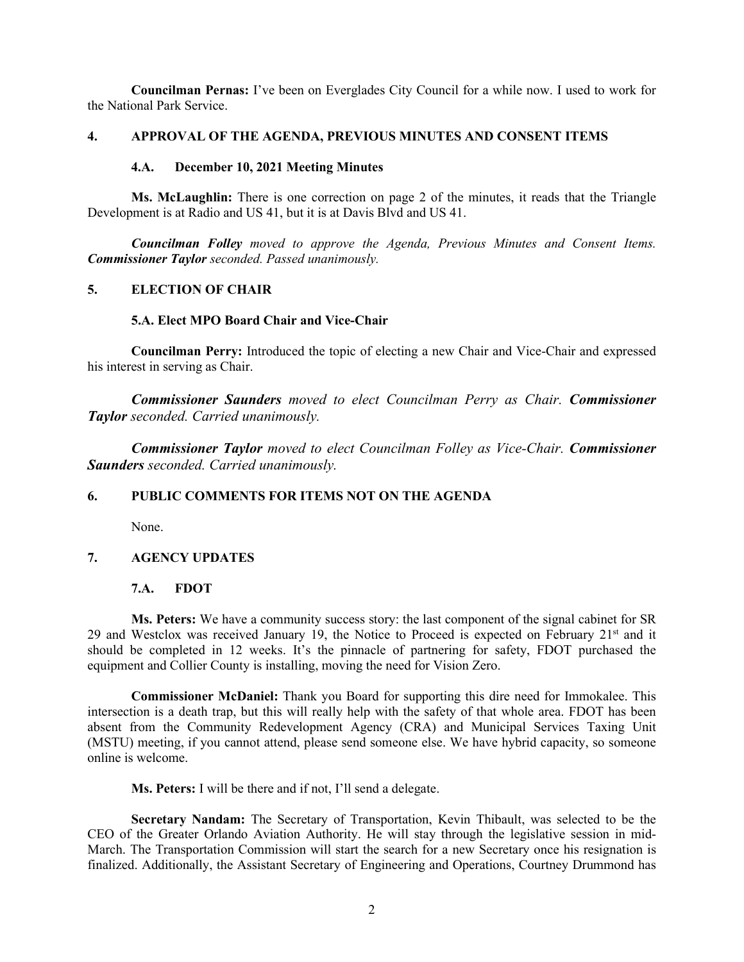**Councilman Pernas:** I've been on Everglades City Council for a while now. I used to work for the National Park Service.

#### **4. APPROVAL OF THE AGENDA, PREVIOUS MINUTES AND CONSENT ITEMS**

#### **4.A. December 10, 2021 Meeting Minutes**

**Ms. McLaughlin:** There is one correction on page 2 of the minutes, it reads that the Triangle Development is at Radio and US 41, but it is at Davis Blvd and US 41.

*Councilman Folley moved to approve the Agenda, Previous Minutes and Consent Items. Commissioner Taylor seconded. Passed unanimously.*

#### **5. ELECTION OF CHAIR**

#### **5.A. Elect MPO Board Chair and Vice-Chair**

**Councilman Perry:** Introduced the topic of electing a new Chair and Vice-Chair and expressed his interest in serving as Chair.

*Commissioner Saunders moved to elect Councilman Perry as Chair. Commissioner Taylor seconded. Carried unanimously.*

*Commissioner Taylor moved to elect Councilman Folley as Vice-Chair. Commissioner Saunders seconded. Carried unanimously.*

# **6. PUBLIC COMMENTS FOR ITEMS NOT ON THE AGENDA**

None.

# **7. AGENCY UPDATES**

#### **7.A. FDOT**

**Ms. Peters:** We have a community success story: the last component of the signal cabinet for SR 29 and Westclox was received January 19, the Notice to Proceed is expected on February 21<sup>st</sup> and it should be completed in 12 weeks. It's the pinnacle of partnering for safety, FDOT purchased the equipment and Collier County is installing, moving the need for Vision Zero.

**Commissioner McDaniel:** Thank you Board for supporting this dire need for Immokalee. This intersection is a death trap, but this will really help with the safety of that whole area. FDOT has been absent from the Community Redevelopment Agency (CRA) and Municipal Services Taxing Unit (MSTU) meeting, if you cannot attend, please send someone else. We have hybrid capacity, so someone online is welcome.

**Ms. Peters:** I will be there and if not, I'll send a delegate.

**Secretary Nandam:** The Secretary of Transportation, Kevin Thibault, was selected to be the CEO of the Greater Orlando Aviation Authority. He will stay through the legislative session in mid-March. The Transportation Commission will start the search for a new Secretary once his resignation is finalized. Additionally, the Assistant Secretary of Engineering and Operations, Courtney Drummond has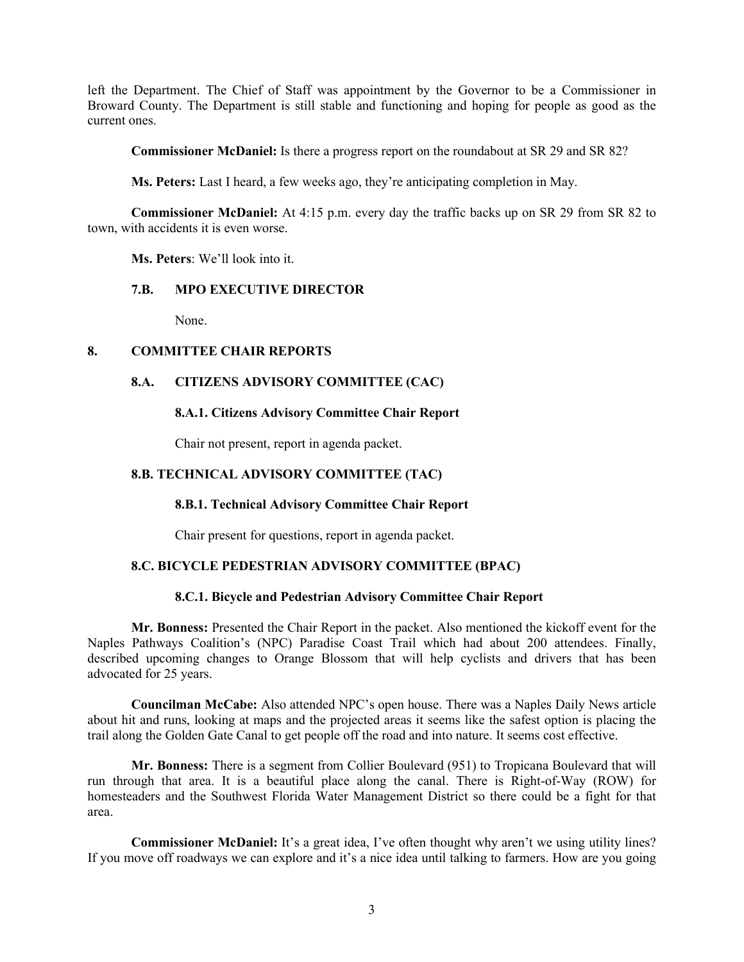left the Department. The Chief of Staff was appointment by the Governor to be a Commissioner in Broward County. The Department is still stable and functioning and hoping for people as good as the current ones.

**Commissioner McDaniel:** Is there a progress report on the roundabout at SR 29 and SR 82?

**Ms. Peters:** Last I heard, a few weeks ago, they're anticipating completion in May.

**Commissioner McDaniel:** At 4:15 p.m. every day the traffic backs up on SR 29 from SR 82 to town, with accidents it is even worse.

**Ms. Peters**: We'll look into it.

#### **7.B. MPO EXECUTIVE DIRECTOR**

None.

# **8. COMMITTEE CHAIR REPORTS**

# **8.A. CITIZENS ADVISORY COMMITTEE (CAC)**

#### **8.A.1. Citizens Advisory Committee Chair Report**

Chair not present, report in agenda packet.

### **8.B. TECHNICAL ADVISORY COMMITTEE (TAC)**

# **8.B.1. Technical Advisory Committee Chair Report**

Chair present for questions, report in agenda packet.

# **8.C. BICYCLE PEDESTRIAN ADVISORY COMMITTEE (BPAC)**

# **8.C.1. Bicycle and Pedestrian Advisory Committee Chair Report**

**Mr. Bonness:** Presented the Chair Report in the packet. Also mentioned the kickoff event for the Naples Pathways Coalition's (NPC) Paradise Coast Trail which had about 200 attendees. Finally, described upcoming changes to Orange Blossom that will help cyclists and drivers that has been advocated for 25 years.

**Councilman McCabe:** Also attended NPC's open house. There was a Naples Daily News article about hit and runs, looking at maps and the projected areas it seems like the safest option is placing the trail along the Golden Gate Canal to get people off the road and into nature. It seems cost effective.

**Mr. Bonness:** There is a segment from Collier Boulevard (951) to Tropicana Boulevard that will run through that area. It is a beautiful place along the canal. There is Right-of-Way (ROW) for homesteaders and the Southwest Florida Water Management District so there could be a fight for that area.

**Commissioner McDaniel:** It's a great idea, I've often thought why aren't we using utility lines? If you move off roadways we can explore and it's a nice idea until talking to farmers. How are you going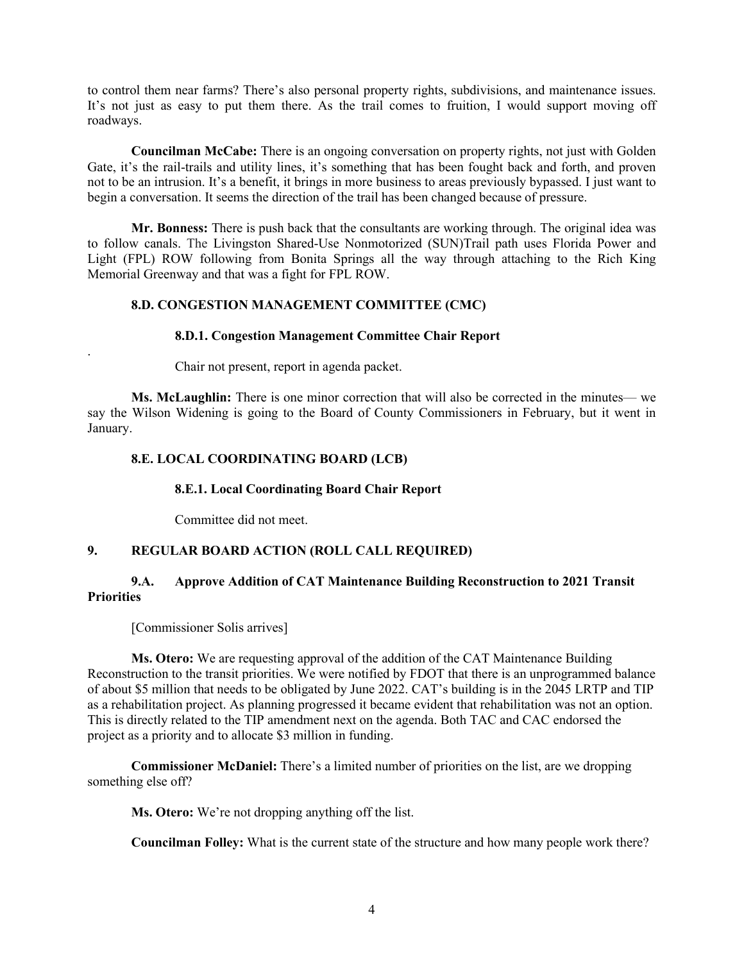to control them near farms? There's also personal property rights, subdivisions, and maintenance issues. It's not just as easy to put them there. As the trail comes to fruition, I would support moving off roadways.

**Councilman McCabe:** There is an ongoing conversation on property rights, not just with Golden Gate, it's the rail-trails and utility lines, it's something that has been fought back and forth, and proven not to be an intrusion. It's a benefit, it brings in more business to areas previously bypassed. I just want to begin a conversation. It seems the direction of the trail has been changed because of pressure.

**Mr. Bonness:** There is push back that the consultants are working through. The original idea was to follow canals. The Livingston Shared-Use Nonmotorized (SUN)Trail path uses Florida Power and Light (FPL) ROW following from Bonita Springs all the way through attaching to the Rich King Memorial Greenway and that was a fight for FPL ROW.

# **8.D. CONGESTION MANAGEMENT COMMITTEE (CMC)**

#### **8.D.1. Congestion Management Committee Chair Report**

Chair not present, report in agenda packet.

**Ms. McLaughlin:** There is one minor correction that will also be corrected in the minutes— we say the Wilson Widening is going to the Board of County Commissioners in February, but it went in January.

# **8.E. LOCAL COORDINATING BOARD (LCB)**

#### **8.E.1. Local Coordinating Board Chair Report**

Committee did not meet.

# **9. REGULAR BOARD ACTION (ROLL CALL REQUIRED)**

# **9.A. Approve Addition of CAT Maintenance Building Reconstruction to 2021 Transit Priorities**

[Commissioner Solis arrives]

.

**Ms. Otero:** We are requesting approval of the addition of the CAT Maintenance Building Reconstruction to the transit priorities. We were notified by FDOT that there is an unprogrammed balance of about \$5 million that needs to be obligated by June 2022. CAT's building is in the 2045 LRTP and TIP as a rehabilitation project. As planning progressed it became evident that rehabilitation was not an option. This is directly related to the TIP amendment next on the agenda. Both TAC and CAC endorsed the project as a priority and to allocate \$3 million in funding.

**Commissioner McDaniel:** There's a limited number of priorities on the list, are we dropping something else off?

**Ms. Otero:** We're not dropping anything off the list.

**Councilman Folley:** What is the current state of the structure and how many people work there?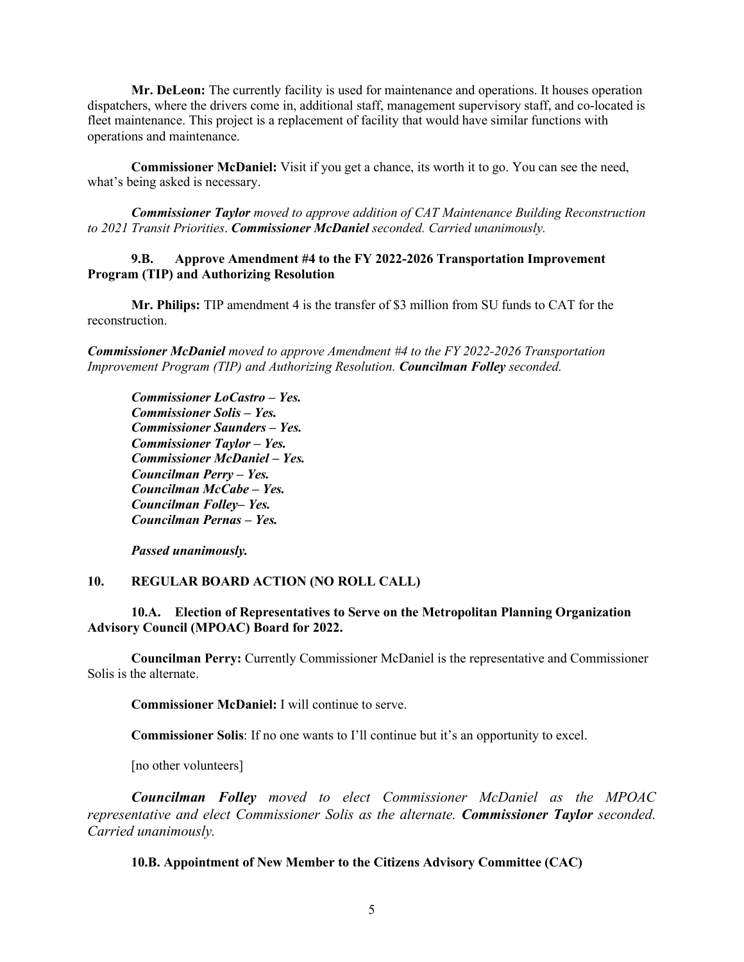**Mr. DeLeon:** The currently facility is used for maintenance and operations. It houses operation dispatchers, where the drivers come in, additional staff, management supervisory staff, and co-located is fleet maintenance. This project is a replacement of facility that would have similar functions with operations and maintenance.

**Commissioner McDaniel:** Visit if you get a chance, its worth it to go. You can see the need, what's being asked is necessary.

*Commissioner Taylor moved to approve addition of CAT Maintenance Building Reconstruction to 2021 Transit Priorities*. *Commissioner McDaniel seconded. Carried unanimously.*

### **9.B. Approve Amendment #4 to the FY 2022-2026 Transportation Improvement Program (TIP) and Authorizing Resolution**

**Mr. Philips:** TIP amendment 4 is the transfer of \$3 million from SU funds to CAT for the reconstruction.

*Commissioner McDaniel moved to approve Amendment #4 to the FY 2022-2026 Transportation Improvement Program (TIP) and Authorizing Resolution. Councilman Folley seconded.* 

*Commissioner LoCastro – Yes. Commissioner Solis – Yes. Commissioner Saunders – Yes. Commissioner Taylor – Yes. Commissioner McDaniel – Yes. Councilman Perry – Yes. Councilman McCabe – Yes. Councilman Folley– Yes. Councilman Pernas – Yes.* 

*Passed unanimously.* 

# **10. REGULAR BOARD ACTION (NO ROLL CALL)**

#### **10.A. Election of Representatives to Serve on the Metropolitan Planning Organization Advisory Council (MPOAC) Board for 2022.**

**Councilman Perry:** Currently Commissioner McDaniel is the representative and Commissioner Solis is the alternate.

**Commissioner McDaniel:** I will continue to serve.

**Commissioner Solis**: If no one wants to I'll continue but it's an opportunity to excel.

[no other volunteers]

*Councilman Folley moved to elect Commissioner McDaniel as the MPOAC representative and elect Commissioner Solis as the alternate. Commissioner Taylor seconded. Carried unanimously.*

**10.B. Appointment of New Member to the Citizens Advisory Committee (CAC)**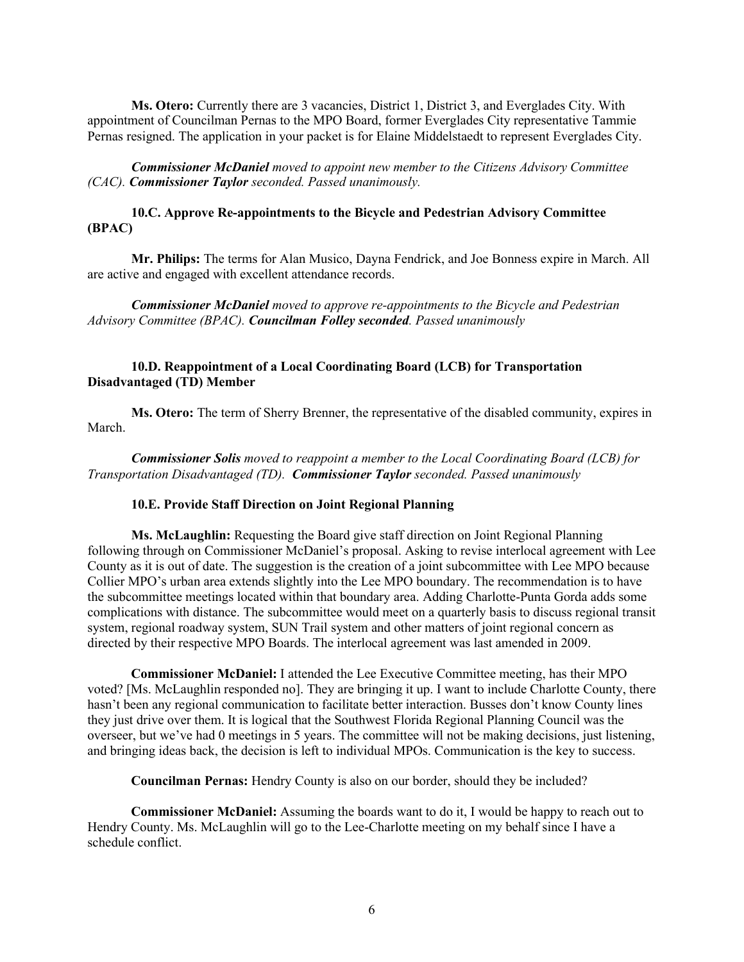**Ms. Otero:** Currently there are 3 vacancies, District 1, District 3, and Everglades City. With appointment of Councilman Pernas to the MPO Board, former Everglades City representative Tammie Pernas resigned. The application in your packet is for Elaine Middelstaedt to represent Everglades City.

*Commissioner McDaniel moved to appoint new member to the Citizens Advisory Committee (CAC). Commissioner Taylor seconded. Passed unanimously.*

### **10.C. Approve Re-appointments to the Bicycle and Pedestrian Advisory Committee (BPAC)**

**Mr. Philips:** The terms for Alan Musico, Dayna Fendrick, and Joe Bonness expire in March. All are active and engaged with excellent attendance records.

*Commissioner McDaniel moved to approve re-appointments to the Bicycle and Pedestrian Advisory Committee (BPAC). Councilman Folley seconded. Passed unanimously*

### **10.D. Reappointment of a Local Coordinating Board (LCB) for Transportation Disadvantaged (TD) Member**

**Ms. Otero:** The term of Sherry Brenner, the representative of the disabled community, expires in March.

*Commissioner Solis moved to reappoint a member to the Local Coordinating Board (LCB) for Transportation Disadvantaged (TD). Commissioner Taylor seconded. Passed unanimously*

#### **10.E. Provide Staff Direction on Joint Regional Planning**

**Ms. McLaughlin:** Requesting the Board give staff direction on Joint Regional Planning following through on Commissioner McDaniel's proposal. Asking to revise interlocal agreement with Lee County as it is out of date. The suggestion is the creation of a joint subcommittee with Lee MPO because Collier MPO's urban area extends slightly into the Lee MPO boundary. The recommendation is to have the subcommittee meetings located within that boundary area. Adding Charlotte-Punta Gorda adds some complications with distance. The subcommittee would meet on a quarterly basis to discuss regional transit system, regional roadway system, SUN Trail system and other matters of joint regional concern as directed by their respective MPO Boards. The interlocal agreement was last amended in 2009.

**Commissioner McDaniel:** I attended the Lee Executive Committee meeting, has their MPO voted? [Ms. McLaughlin responded no]. They are bringing it up. I want to include Charlotte County, there hasn't been any regional communication to facilitate better interaction. Busses don't know County lines they just drive over them. It is logical that the Southwest Florida Regional Planning Council was the overseer, but we've had 0 meetings in 5 years. The committee will not be making decisions, just listening, and bringing ideas back, the decision is left to individual MPOs. Communication is the key to success.

**Councilman Pernas:** Hendry County is also on our border, should they be included?

**Commissioner McDaniel:** Assuming the boards want to do it, I would be happy to reach out to Hendry County. Ms. McLaughlin will go to the Lee-Charlotte meeting on my behalf since I have a schedule conflict.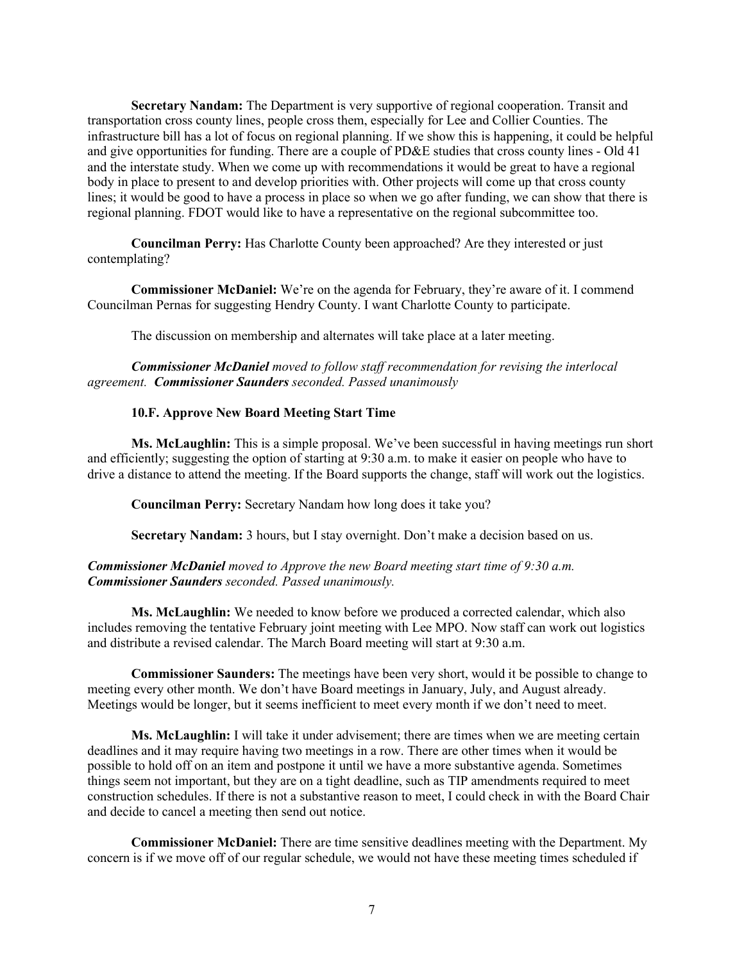**Secretary Nandam:** The Department is very supportive of regional cooperation. Transit and transportation cross county lines, people cross them, especially for Lee and Collier Counties. The infrastructure bill has a lot of focus on regional planning. If we show this is happening, it could be helpful and give opportunities for funding. There are a couple of PD&E studies that cross county lines - Old 41 and the interstate study. When we come up with recommendations it would be great to have a regional body in place to present to and develop priorities with. Other projects will come up that cross county lines; it would be good to have a process in place so when we go after funding, we can show that there is regional planning. FDOT would like to have a representative on the regional subcommittee too.

**Councilman Perry:** Has Charlotte County been approached? Are they interested or just contemplating?

**Commissioner McDaniel:** We're on the agenda for February, they're aware of it. I commend Councilman Pernas for suggesting Hendry County. I want Charlotte County to participate.

The discussion on membership and alternates will take place at a later meeting.

*Commissioner McDaniel moved to follow staff recommendation for revising the interlocal agreement. Commissioner Saunders seconded. Passed unanimously*

#### **10.F. Approve New Board Meeting Start Time**

**Ms. McLaughlin:** This is a simple proposal. We've been successful in having meetings run short and efficiently; suggesting the option of starting at 9:30 a.m. to make it easier on people who have to drive a distance to attend the meeting. If the Board supports the change, staff will work out the logistics.

**Councilman Perry:** Secretary Nandam how long does it take you?

**Secretary Nandam:** 3 hours, but I stay overnight. Don't make a decision based on us.

#### *Commissioner McDaniel moved to Approve the new Board meeting start time of 9:30 a.m. Commissioner Saunders seconded. Passed unanimously.*

**Ms. McLaughlin:** We needed to know before we produced a corrected calendar, which also includes removing the tentative February joint meeting with Lee MPO. Now staff can work out logistics and distribute a revised calendar. The March Board meeting will start at 9:30 a.m.

**Commissioner Saunders:** The meetings have been very short, would it be possible to change to meeting every other month. We don't have Board meetings in January, July, and August already. Meetings would be longer, but it seems inefficient to meet every month if we don't need to meet.

**Ms. McLaughlin:** I will take it under advisement; there are times when we are meeting certain deadlines and it may require having two meetings in a row. There are other times when it would be possible to hold off on an item and postpone it until we have a more substantive agenda. Sometimes things seem not important, but they are on a tight deadline, such as TIP amendments required to meet construction schedules. If there is not a substantive reason to meet, I could check in with the Board Chair and decide to cancel a meeting then send out notice.

**Commissioner McDaniel:** There are time sensitive deadlines meeting with the Department. My concern is if we move off of our regular schedule, we would not have these meeting times scheduled if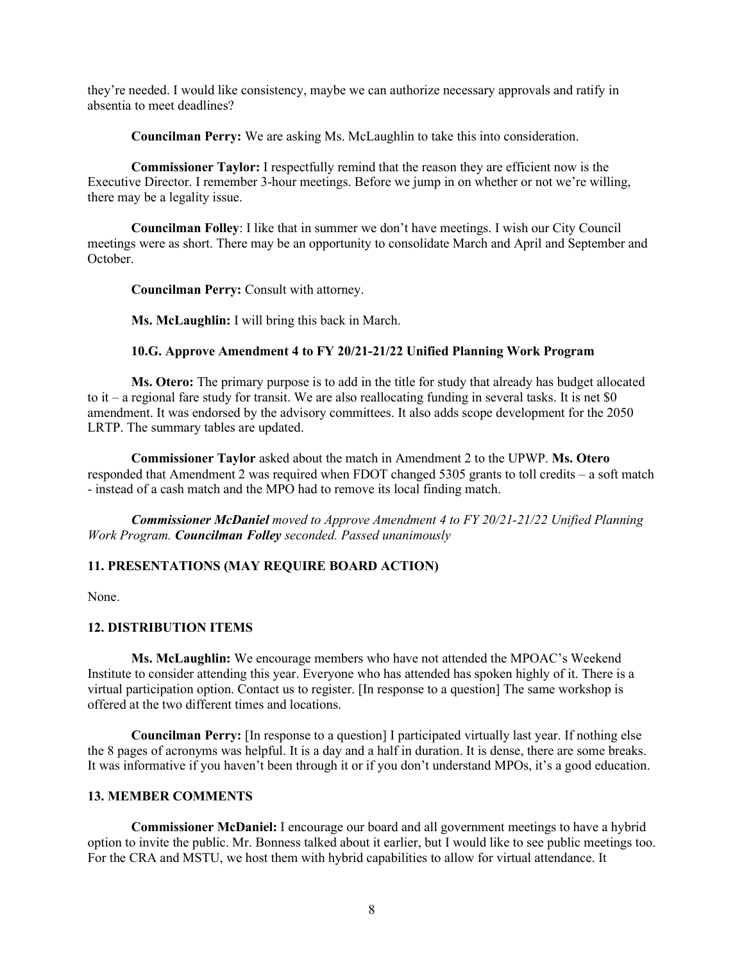they're needed. I would like consistency, maybe we can authorize necessary approvals and ratify in absentia to meet deadlines?

**Councilman Perry:** We are asking Ms. McLaughlin to take this into consideration.

**Commissioner Taylor:** I respectfully remind that the reason they are efficient now is the Executive Director. I remember 3-hour meetings. Before we jump in on whether or not we're willing, there may be a legality issue.

**Councilman Folley**: I like that in summer we don't have meetings. I wish our City Council meetings were as short. There may be an opportunity to consolidate March and April and September and October.

**Councilman Perry:** Consult with attorney.

**Ms. McLaughlin:** I will bring this back in March.

# **10.G. Approve Amendment 4 to FY 20/21-21/22 Unified Planning Work Program**

**Ms. Otero:** The primary purpose is to add in the title for study that already has budget allocated to it – a regional fare study for transit. We are also reallocating funding in several tasks. It is net \$0 amendment. It was endorsed by the advisory committees. It also adds scope development for the 2050 LRTP. The summary tables are updated.

**Commissioner Taylor** asked about the match in Amendment 2 to the UPWP. **Ms. Otero**  responded that Amendment 2 was required when FDOT changed 5305 grants to toll credits – a soft match - instead of a cash match and the MPO had to remove its local finding match.

*Commissioner McDaniel moved to Approve Amendment 4 to FY 20/21-21/22 Unified Planning Work Program. Councilman Folley seconded. Passed unanimously*

#### **11. PRESENTATIONS (MAY REQUIRE BOARD ACTION)**

None.

#### **12. DISTRIBUTION ITEMS**

**Ms. McLaughlin:** We encourage members who have not attended the MPOAC's Weekend Institute to consider attending this year. Everyone who has attended has spoken highly of it. There is a virtual participation option. Contact us to register. [In response to a question] The same workshop is offered at the two different times and locations.

**Councilman Perry:** [In response to a question] I participated virtually last year. If nothing else the 8 pages of acronyms was helpful. It is a day and a half in duration. It is dense, there are some breaks. It was informative if you haven't been through it or if you don't understand MPOs, it's a good education.

#### **13. MEMBER COMMENTS**

**Commissioner McDaniel:** I encourage our board and all government meetings to have a hybrid option to invite the public. Mr. Bonness talked about it earlier, but I would like to see public meetings too. For the CRA and MSTU, we host them with hybrid capabilities to allow for virtual attendance. It